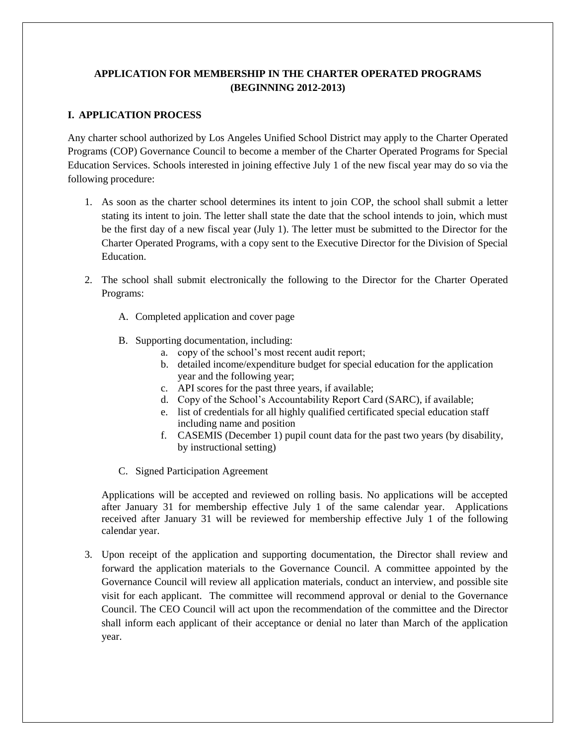## **APPLICATION FOR MEMBERSHIP IN THE CHARTER OPERATED PROGRAMS (BEGINNING 2012-2013)**

## **I. APPLICATION PROCESS**

Any charter school authorized by Los Angeles Unified School District may apply to the Charter Operated Programs (COP) Governance Council to become a member of the Charter Operated Programs for Special Education Services. Schools interested in joining effective July 1 of the new fiscal year may do so via the following procedure:

- 1. As soon as the charter school determines its intent to join COP, the school shall submit a letter stating its intent to join. The letter shall state the date that the school intends to join, which must be the first day of a new fiscal year (July 1). The letter must be submitted to the Director for the Charter Operated Programs, with a copy sent to the Executive Director for the Division of Special Education.
- 2. The school shall submit electronically the following to the Director for the Charter Operated Programs:
	- A. Completed application and cover page
	- B. Supporting documentation, including:
		- a. copy of the school's most recent audit report;
		- b. detailed income/expenditure budget for special education for the application year and the following year;
		- c. API scores for the past three years, if available;
		- d. Copy of the School's Accountability Report Card (SARC), if available;
		- e. list of credentials for all highly qualified certificated special education staff including name and position
		- f. CASEMIS (December 1) pupil count data for the past two years (by disability, by instructional setting)
	- C. Signed Participation Agreement

Applications will be accepted and reviewed on rolling basis. No applications will be accepted after January 31 for membership effective July 1 of the same calendar year. Applications received after January 31 will be reviewed for membership effective July 1 of the following calendar year.

3. Upon receipt of the application and supporting documentation, the Director shall review and forward the application materials to the Governance Council. A committee appointed by the Governance Council will review all application materials, conduct an interview, and possible site visit for each applicant. The committee will recommend approval or denial to the Governance Council. The CEO Council will act upon the recommendation of the committee and the Director shall inform each applicant of their acceptance or denial no later than March of the application year.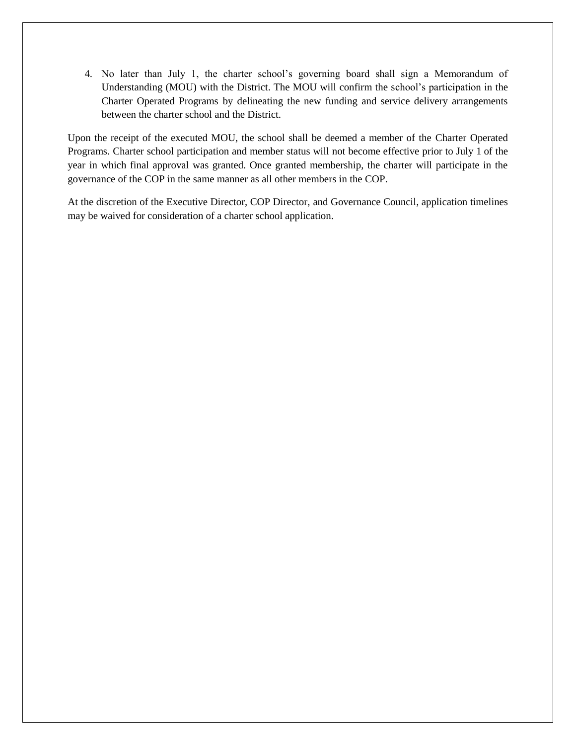4. No later than July 1, the charter school's governing board shall sign a Memorandum of Understanding (MOU) with the District. The MOU will confirm the school's participation in the Charter Operated Programs by delineating the new funding and service delivery arrangements between the charter school and the District.

Upon the receipt of the executed MOU, the school shall be deemed a member of the Charter Operated Programs. Charter school participation and member status will not become effective prior to July 1 of the year in which final approval was granted. Once granted membership, the charter will participate in the governance of the COP in the same manner as all other members in the COP.

At the discretion of the Executive Director, COP Director, and Governance Council, application timelines may be waived for consideration of a charter school application.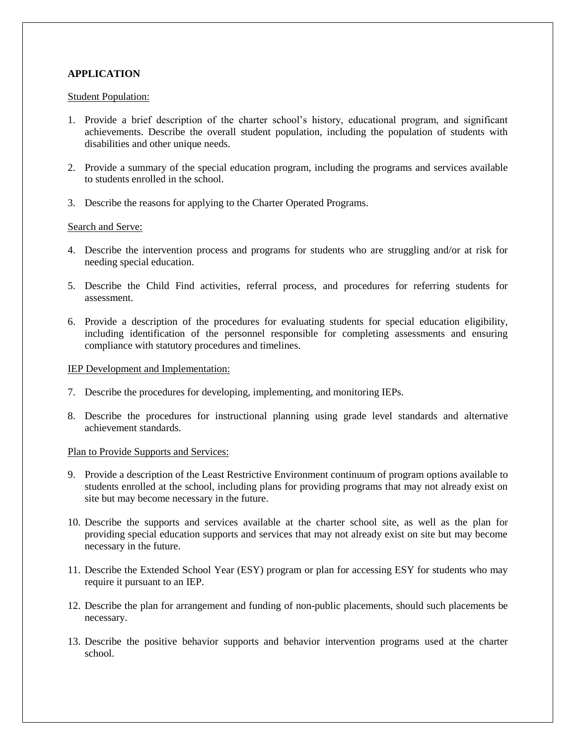## **APPLICATION**

#### Student Population:

- 1. Provide a brief description of the charter school's history, educational program, and significant achievements. Describe the overall student population, including the population of students with disabilities and other unique needs.
- 2. Provide a summary of the special education program, including the programs and services available to students enrolled in the school.
- 3. Describe the reasons for applying to the Charter Operated Programs.

### Search and Serve:

- 4. Describe the intervention process and programs for students who are struggling and/or at risk for needing special education.
- 5. Describe the Child Find activities, referral process, and procedures for referring students for assessment.
- 6. Provide a description of the procedures for evaluating students for special education eligibility, including identification of the personnel responsible for completing assessments and ensuring compliance with statutory procedures and timelines.

## IEP Development and Implementation:

- 7. Describe the procedures for developing, implementing, and monitoring IEPs.
- 8. Describe the procedures for instructional planning using grade level standards and alternative achievement standards.

#### Plan to Provide Supports and Services:

- 9. Provide a description of the Least Restrictive Environment continuum of program options available to students enrolled at the school, including plans for providing programs that may not already exist on site but may become necessary in the future.
- 10. Describe the supports and services available at the charter school site, as well as the plan for providing special education supports and services that may not already exist on site but may become necessary in the future.
- 11. Describe the Extended School Year (ESY) program or plan for accessing ESY for students who may require it pursuant to an IEP.
- 12. Describe the plan for arrangement and funding of non-public placements, should such placements be necessary.
- 13. Describe the positive behavior supports and behavior intervention programs used at the charter school.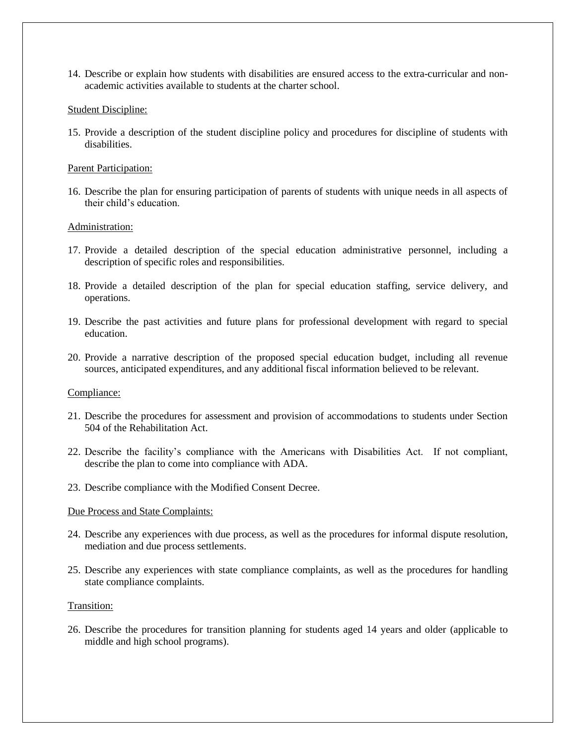14. Describe or explain how students with disabilities are ensured access to the extra-curricular and nonacademic activities available to students at the charter school.

### Student Discipline:

15. Provide a description of the student discipline policy and procedures for discipline of students with disabilities.

## Parent Participation:

16. Describe the plan for ensuring participation of parents of students with unique needs in all aspects of their child's education.

## Administration:

- 17. Provide a detailed description of the special education administrative personnel, including a description of specific roles and responsibilities.
- 18. Provide a detailed description of the plan for special education staffing, service delivery, and operations.
- 19. Describe the past activities and future plans for professional development with regard to special education.
- 20. Provide a narrative description of the proposed special education budget, including all revenue sources, anticipated expenditures, and any additional fiscal information believed to be relevant.

#### Compliance:

- 21. Describe the procedures for assessment and provision of accommodations to students under Section 504 of the Rehabilitation Act.
- 22. Describe the facility's compliance with the Americans with Disabilities Act. If not compliant, describe the plan to come into compliance with ADA.
- 23. Describe compliance with the Modified Consent Decree.

#### Due Process and State Complaints:

- 24. Describe any experiences with due process, as well as the procedures for informal dispute resolution, mediation and due process settlements.
- 25. Describe any experiences with state compliance complaints, as well as the procedures for handling state compliance complaints.

#### Transition:

26. Describe the procedures for transition planning for students aged 14 years and older (applicable to middle and high school programs).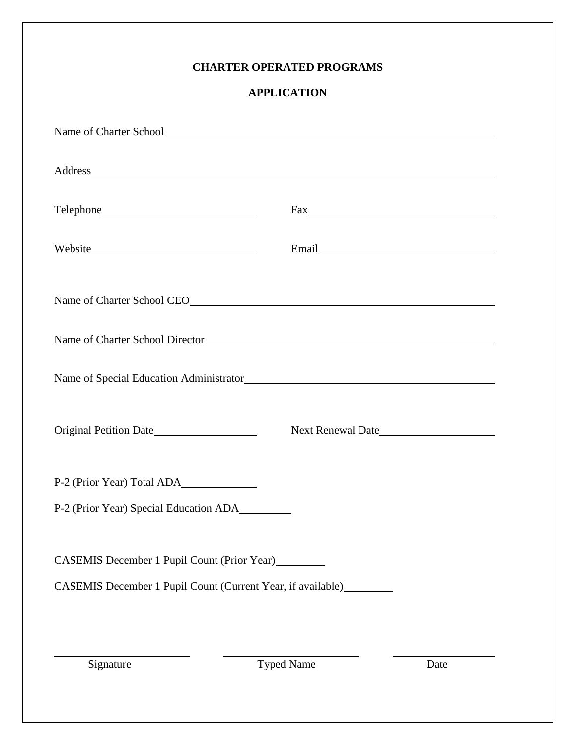## **CHARTER OPERATED PROGRAMS**

## **APPLICATION**

| Name of Charter School<br>Mame of Charter School<br>Mame of Charter School                                                                                                                                                     |                   |      |
|--------------------------------------------------------------------------------------------------------------------------------------------------------------------------------------------------------------------------------|-------------------|------|
| Address and the contract of the contract of the contract of the contract of the contract of the contract of the contract of the contract of the contract of the contract of the contract of the contract of the contract of th |                   |      |
|                                                                                                                                                                                                                                |                   |      |
|                                                                                                                                                                                                                                |                   |      |
|                                                                                                                                                                                                                                |                   |      |
|                                                                                                                                                                                                                                |                   |      |
|                                                                                                                                                                                                                                |                   |      |
| Original Petition Date                                                                                                                                                                                                         | Next Renewal Date |      |
| P-2 (Prior Year) Total ADA<br>P-2 (Prior Year) Special Education ADA                                                                                                                                                           |                   |      |
|                                                                                                                                                                                                                                |                   |      |
| CASEMIS December 1 Pupil Count (Prior Year)                                                                                                                                                                                    |                   |      |
| CASEMIS December 1 Pupil Count (Current Year, if available)                                                                                                                                                                    |                   |      |
|                                                                                                                                                                                                                                |                   |      |
| Signature                                                                                                                                                                                                                      | <b>Typed Name</b> | Date |